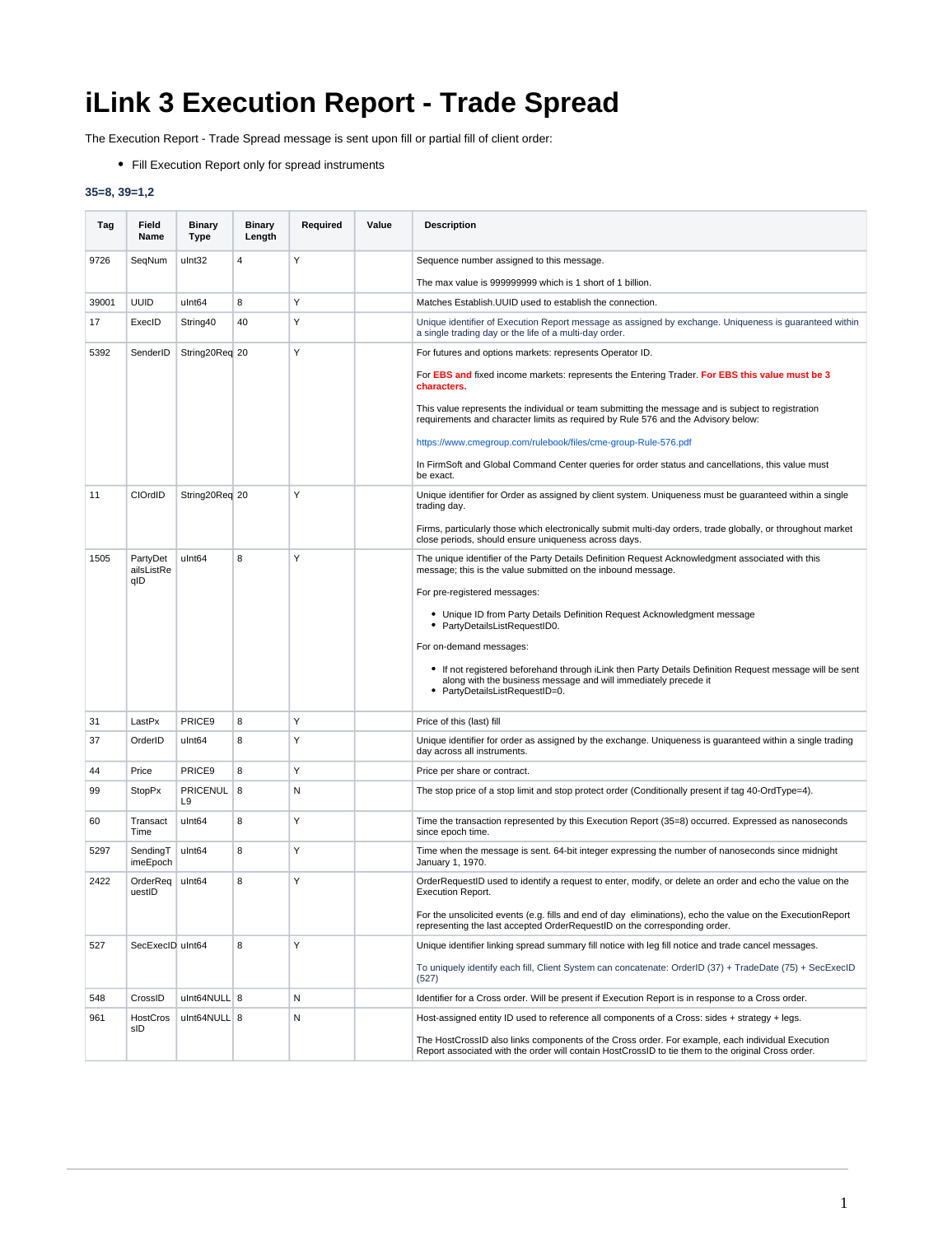## **iLink 3 Execution Report - Trade Spread**

The Execution Report - Trade Spread message is sent upon fill or partial fill of client order:

Fill Execution Report only for spread instruments

## **35=8, 39=1,2**

| Tag   | Field<br>Name          | <b>Binary</b><br>Type             | <b>Binary</b><br>Length | Required | Value | <b>Description</b>                                                                                                                                                                                           |
|-------|------------------------|-----------------------------------|-------------------------|----------|-------|--------------------------------------------------------------------------------------------------------------------------------------------------------------------------------------------------------------|
| 9726  | SeqNum                 | ulnt32                            | $\overline{4}$          | Υ        |       | Sequence number assigned to this message.                                                                                                                                                                    |
|       |                        |                                   |                         |          |       | The max value is 999999999 which is 1 short of 1 billion.                                                                                                                                                    |
| 39001 | <b>UUID</b>            | ulnt64                            | 8                       | Υ        |       | Matches Establish. UUID used to establish the connection.                                                                                                                                                    |
| 17    | ExecID                 | String40                          | 40                      | Y        |       | Unique identifier of Execution Report message as assigned by exchange. Uniqueness is guaranteed within<br>a single trading day or the life of a multi-day order.                                             |
| 5392  | SenderID               | String20Req 20                    |                         | Y        |       | For futures and options markets: represents Operator ID.                                                                                                                                                     |
|       |                        |                                   |                         |          |       | For EBS and fixed income markets: represents the Entering Trader. For EBS this value must be 3<br>characters.                                                                                                |
|       |                        |                                   |                         |          |       | This value represents the individual or team submitting the message and is subject to registration<br>requirements and character limits as required by Rule 576 and the Advisory below:                      |
|       |                        |                                   |                         |          |       | https://www.cmegroup.com/rulebook/files/cme-group-Rule-576.pdf                                                                                                                                               |
|       |                        |                                   |                         |          |       | In FirmSoft and Global Command Center queries for order status and cancellations, this value must<br>be exact.                                                                                               |
| 11    | CIOrdID                | String20Req 20                    |                         | Y        |       | Unique identifier for Order as assigned by client system. Uniqueness must be guaranteed within a single<br>trading day.                                                                                      |
|       |                        |                                   |                         |          |       | Firms, particularly those which electronically submit multi-day orders, trade globally, or throughout market<br>close periods, should ensure uniqueness across days.                                         |
| 1505  | PartyDet<br>ailsListRe | ulnt64                            | 8                       | Y        |       | The unique identifier of the Party Details Definition Request Acknowledgment associated with this<br>message; this is the value submitted on the inbound message.                                            |
|       | qID                    |                                   |                         |          |       | For pre-registered messages:                                                                                                                                                                                 |
|       |                        |                                   |                         |          |       | • Unique ID from Party Details Definition Request Acknowledgment message<br>• PartyDetailsListRequestID0.                                                                                                    |
|       |                        |                                   |                         |          |       | For on-demand messages:                                                                                                                                                                                      |
|       |                        |                                   |                         |          |       | • If not registered beforehand through iLink then Party Details Definition Request message will be sent<br>along with the business message and will immediately precede it<br>• PartyDetailsListRequestID=0. |
| 31    | LastPx                 | PRICE <sub>9</sub>                | 8                       | Υ        |       | Price of this (last) fill                                                                                                                                                                                    |
| 37    | OrderID                | ulnt <sub>64</sub>                | 8                       | Υ        |       | Unique identifier for order as assigned by the exchange. Uniqueness is guaranteed within a single trading<br>day across all instruments.                                                                     |
| 44    | Price                  | PRICE9                            | 8                       | Υ        |       | Price per share or contract.                                                                                                                                                                                 |
| 99    | <b>StopPx</b>          | <b>PRICENUL</b><br>L <sub>9</sub> | 8                       | N        |       | The stop price of a stop limit and stop protect order (Conditionally present if tag 40-OrdType=4).                                                                                                           |
| 60    | Transact<br>Time       | ulnt64                            | 8                       | Υ        |       | Time the transaction represented by this Execution Report (35=8) occurred. Expressed as nanoseconds<br>since epoch time.                                                                                     |
| 5297  | SendingT<br>imeEpoch   | ulnt64                            | 8                       | Υ        |       | Time when the message is sent. 64-bit integer expressing the number of nanoseconds since midnight<br>January 1, 1970.                                                                                        |
| 2422  | OrderRea<br>uestID     | ulnt64                            | 8                       | Y        |       | OrderRequestID used to identify a request to enter, modify, or delete an order and echo the value on the<br><b>Execution Report.</b>                                                                         |
|       |                        |                                   |                         |          |       | For the unsolicited events (e.g. fills and end of day eliminations), echo the value on the ExecutionReport<br>representing the last accepted OrderRequestID on the corresponding order.                      |
| 527   | SecExecID uInt64       |                                   | 8                       | Υ        |       | Unique identifier linking spread summary fill notice with leg fill notice and trade cancel messages.                                                                                                         |
|       |                        |                                   |                         |          |       | To uniquely identify each fill, Client System can concatenate: OrderID (37) + TradeDate (75) + SecExecID<br>(527)                                                                                            |
| 548   | CrossID                | ulnt64NULL 8                      |                         | N        |       | Identifier for a Cross order. Will be present if Execution Report is in response to a Cross order.                                                                                                           |
| 961   | HostCros<br>sID        | ulnt64NULL 8                      |                         | N        |       | Host-assigned entity ID used to reference all components of a Cross: sides + strategy + legs.                                                                                                                |
|       |                        |                                   |                         |          |       | The HostCrossID also links components of the Cross order. For example, each individual Execution<br>Report associated with the order will contain HostCrossID to tie them to the original Cross order.       |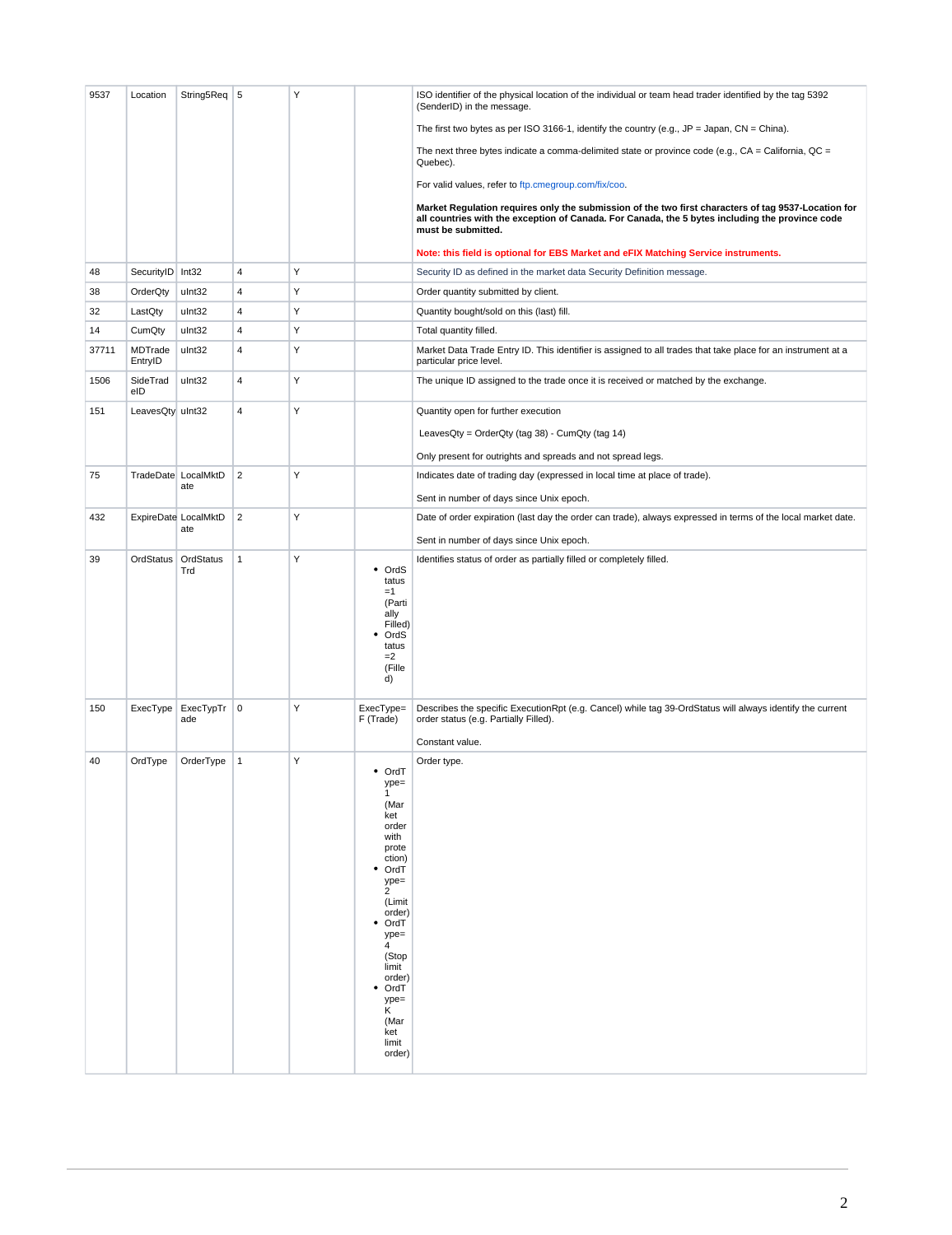| 9537  | Location           | String5Req                 | 5              | Υ |                                                                                                                                                                                                                                                           | ISO identifier of the physical location of the individual or team head trader identified by the tag 5392<br>(SenderID) in the message.                                                                                       |
|-------|--------------------|----------------------------|----------------|---|-----------------------------------------------------------------------------------------------------------------------------------------------------------------------------------------------------------------------------------------------------------|------------------------------------------------------------------------------------------------------------------------------------------------------------------------------------------------------------------------------|
|       |                    |                            |                |   |                                                                                                                                                                                                                                                           | The first two bytes as per ISO 3166-1, identify the country (e.g., $JP = Japan$ , $CN = China$ ).                                                                                                                            |
|       |                    |                            |                |   |                                                                                                                                                                                                                                                           | The next three bytes indicate a comma-delimited state or province code (e.g., $CA = California$ , $QC =$<br>Quebec).                                                                                                         |
|       |                    |                            |                |   |                                                                                                                                                                                                                                                           | For valid values, refer to ftp.cmegroup.com/fix/coo.                                                                                                                                                                         |
|       |                    |                            |                |   |                                                                                                                                                                                                                                                           | Market Regulation requires only the submission of the two first characters of tag 9537-Location for<br>all countries with the exception of Canada. For Canada, the 5 bytes including the province code<br>must be submitted. |
|       |                    |                            |                |   |                                                                                                                                                                                                                                                           | Note: this field is optional for EBS Market and eFIX Matching Service instruments.                                                                                                                                           |
| 48    | SecurityID   Int32 |                            | $\overline{4}$ | Y |                                                                                                                                                                                                                                                           | Security ID as defined in the market data Security Definition message.                                                                                                                                                       |
| 38    | OrderQty           | ulnt32                     | $\overline{4}$ | Υ |                                                                                                                                                                                                                                                           | Order quantity submitted by client.                                                                                                                                                                                          |
| 32    | LastQty            | ulnt32                     | 4              | Υ |                                                                                                                                                                                                                                                           | Quantity bought/sold on this (last) fill.                                                                                                                                                                                    |
| 14    | CumQty             | ulnt32                     | 4              | Υ |                                                                                                                                                                                                                                                           | Total quantity filled.                                                                                                                                                                                                       |
| 37711 | MDTrade<br>EntryID | ulnt32                     | 4              | Υ |                                                                                                                                                                                                                                                           | Market Data Trade Entry ID. This identifier is assigned to all trades that take place for an instrument at a<br>particular price level.                                                                                      |
| 1506  | SideTrad<br>eID    | ulnt32                     | 4              | Υ |                                                                                                                                                                                                                                                           | The unique ID assigned to the trade once it is received or matched by the exchange.                                                                                                                                          |
| 151   | LeavesQty ulnt32   |                            | 4              | Y |                                                                                                                                                                                                                                                           | Quantity open for further execution                                                                                                                                                                                          |
|       |                    |                            |                |   |                                                                                                                                                                                                                                                           | LeavesQty = OrderQty (tag 38) - CumQty (tag 14)                                                                                                                                                                              |
|       |                    |                            |                |   |                                                                                                                                                                                                                                                           | Only present for outrights and spreads and not spread legs.                                                                                                                                                                  |
| 75    |                    | TradeDate LocalMktD<br>ate | $\overline{2}$ | Υ |                                                                                                                                                                                                                                                           | Indicates date of trading day (expressed in local time at place of trade).                                                                                                                                                   |
|       |                    |                            |                |   |                                                                                                                                                                                                                                                           | Sent in number of days since Unix epoch.                                                                                                                                                                                     |
| 432   |                    | ExpireDate LocalMktD       | $\overline{2}$ | Υ |                                                                                                                                                                                                                                                           | Date of order expiration (last day the order can trade), always expressed in terms of the local market date.                                                                                                                 |
|       |                    | ate                        |                |   |                                                                                                                                                                                                                                                           | Sent in number of days since Unix epoch.                                                                                                                                                                                     |
| 39    | OrdStatus          | OrdStatus                  | $\mathbf{1}$   | Υ |                                                                                                                                                                                                                                                           | Identifies status of order as partially filled or completely filled.                                                                                                                                                         |
|       |                    | Trd                        |                |   | OrdS<br>٠<br>tatus<br>$=1$<br>(Parti<br>ally<br>Filled)<br>OrdS<br>٠<br>tatus<br>$=2$<br>(Fille<br>d)                                                                                                                                                     |                                                                                                                                                                                                                              |
| 150   | ExecType           | ExecTypTr<br>ade           | $\mathbf 0$    | Υ | ExecType=<br>F (Trade)                                                                                                                                                                                                                                    | Describes the specific ExecutionRpt (e.g. Cancel) while tag 39-OrdStatus will always identify the current<br>order status (e.g. Partially Filled).                                                                           |
|       |                    |                            |                |   |                                                                                                                                                                                                                                                           | Constant value.                                                                                                                                                                                                              |
| 40    | OrdType            | OrderType                  | $\mathbf{1}$   | Υ | • OrdT<br>ype=<br>$\mathbf{1}$<br>(Mar<br>ket<br>order<br>with<br>prote<br>ction)<br>OrdT<br>٠<br>$ype=$<br>$\mathbf{2}$<br>(Limit<br>order)<br>OrdT<br>$ype=$<br>4<br>(Stop<br>limit<br>order)<br>OrdT<br>$ype=$<br>K.<br>(Mar<br>ket<br>limit<br>order) | Order type.                                                                                                                                                                                                                  |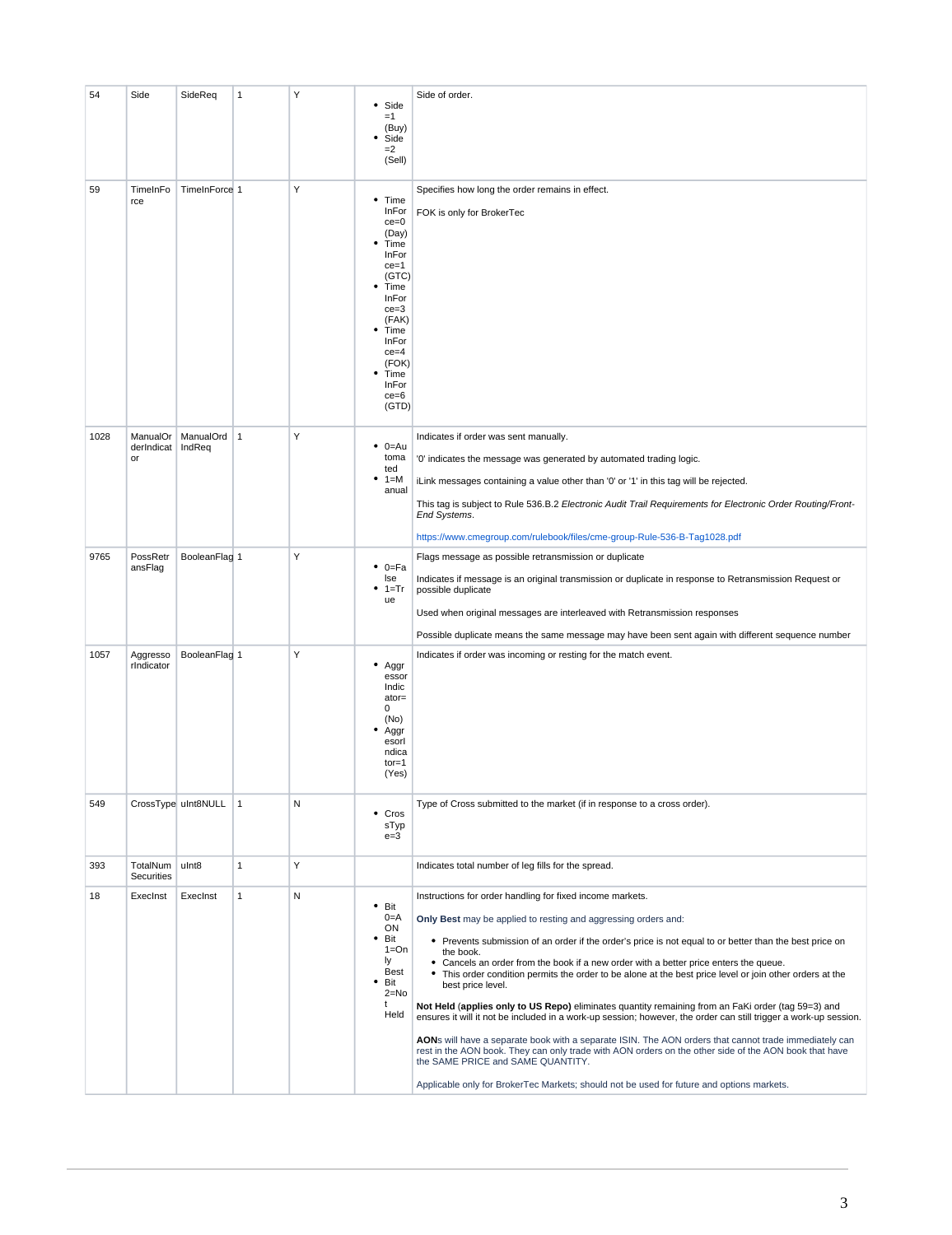| 54   | Side                         | SideReq             | 1              | Y | Side<br>٠<br>$=1$<br>(Buy)<br>Side<br>٠<br>$=2$<br>(Sell)                                                                                                                                       | Side of order.                                                                                                                                                                                                                                                                                                                                                                                                                                                                                                                                                                                                                                                                                                                                                                                                                                                                                                                                                                                                                                              |
|------|------------------------------|---------------------|----------------|---|-------------------------------------------------------------------------------------------------------------------------------------------------------------------------------------------------|-------------------------------------------------------------------------------------------------------------------------------------------------------------------------------------------------------------------------------------------------------------------------------------------------------------------------------------------------------------------------------------------------------------------------------------------------------------------------------------------------------------------------------------------------------------------------------------------------------------------------------------------------------------------------------------------------------------------------------------------------------------------------------------------------------------------------------------------------------------------------------------------------------------------------------------------------------------------------------------------------------------------------------------------------------------|
| 59   | TimeInFo<br>rce              | TimeInForce 1       |                | Υ | ٠<br>Time<br>InFor<br>$ce = 0$<br>(Day)<br>Time<br>InFor<br>$ce = 1$<br>(GTC)<br>Time<br>InFor<br>$ce = 3$<br>(FAK)<br>Time<br>InFor<br>$ce = 4$<br>(FOK)<br>Time<br>InFor<br>$ce = 6$<br>(GTD) | Specifies how long the order remains in effect.<br>FOK is only for BrokerTec                                                                                                                                                                                                                                                                                                                                                                                                                                                                                                                                                                                                                                                                                                                                                                                                                                                                                                                                                                                |
| 1028 | ManualOr<br>derIndicat<br>or | ManualOrd<br>IndReq | $\overline{1}$ | Υ | $\bullet$ 0=Au<br>toma<br>ted<br>1=M<br>anual                                                                                                                                                   | Indicates if order was sent manually.<br>'0' indicates the message was generated by automated trading logic.<br>iLink messages containing a value other than '0' or '1' in this tag will be rejected.<br>This tag is subject to Rule 536.B.2 Electronic Audit Trail Requirements for Electronic Order Routing/Front-<br>End Systems.<br>https://www.cmegroup.com/rulebook/files/cme-group-Rule-536-B-Tag1028.pdf                                                                                                                                                                                                                                                                                                                                                                                                                                                                                                                                                                                                                                            |
| 9765 | PossRetr<br>ansFlag          | BooleanFlag 1       |                | Υ | $0 = Fa$<br>lse<br>$1 = Tr$<br>ue                                                                                                                                                               | Flags message as possible retransmission or duplicate<br>Indicates if message is an original transmission or duplicate in response to Retransmission Request or<br>possible duplicate<br>Used when original messages are interleaved with Retransmission responses<br>Possible duplicate means the same message may have been sent again with different sequence number                                                                                                                                                                                                                                                                                                                                                                                                                                                                                                                                                                                                                                                                                     |
| 1057 | Aggresso<br>rIndicator       | BooleanFlag 1       |                | Υ | Aggr<br>essor<br>Indic<br>ator=<br>0<br>(No)<br>Aggr<br>esorl<br>ndica<br>$tor = 1$<br>(Yes)                                                                                                    | Indicates if order was incoming or resting for the match event.                                                                                                                                                                                                                                                                                                                                                                                                                                                                                                                                                                                                                                                                                                                                                                                                                                                                                                                                                                                             |
| 549  |                              | CrossType uInt8NULL | $\mathbf{1}$   | N | • Cros<br>sTyp<br>$e = 3$                                                                                                                                                                       | Type of Cross submitted to the market (if in response to a cross order).                                                                                                                                                                                                                                                                                                                                                                                                                                                                                                                                                                                                                                                                                                                                                                                                                                                                                                                                                                                    |
| 393  | TotalNum<br>Securities       | ulnt8               | $\mathbf{1}$   | Υ |                                                                                                                                                                                                 | Indicates total number of leg fills for the spread.                                                                                                                                                                                                                                                                                                                                                                                                                                                                                                                                                                                                                                                                                                                                                                                                                                                                                                                                                                                                         |
| 18   | Execinst                     | ExecInst            | $\mathbf{1}$   | N | $•$ Bit<br>$0=$ A<br>ON<br>Bit<br>٠<br>$1 = On$<br>ly<br>Best<br>Bit<br>$2 = No$<br>t<br>Held                                                                                                   | Instructions for order handling for fixed income markets.<br>Only Best may be applied to resting and aggressing orders and:<br>• Prevents submission of an order if the order's price is not equal to or better than the best price on<br>the book.<br>• Cancels an order from the book if a new order with a better price enters the queue.<br>• This order condition permits the order to be alone at the best price level or join other orders at the<br>best price level.<br>Not Held (applies only to US Repo) eliminates quantity remaining from an FaKi order (tag 59=3) and<br>ensures it will it not be included in a work-up session; however, the order can still trigger a work-up session.<br>AONs will have a separate book with a separate ISIN. The AON orders that cannot trade immediately can<br>rest in the AON book. They can only trade with AON orders on the other side of the AON book that have<br>the SAME PRICE and SAME QUANTITY.<br>Applicable only for BrokerTec Markets; should not be used for future and options markets. |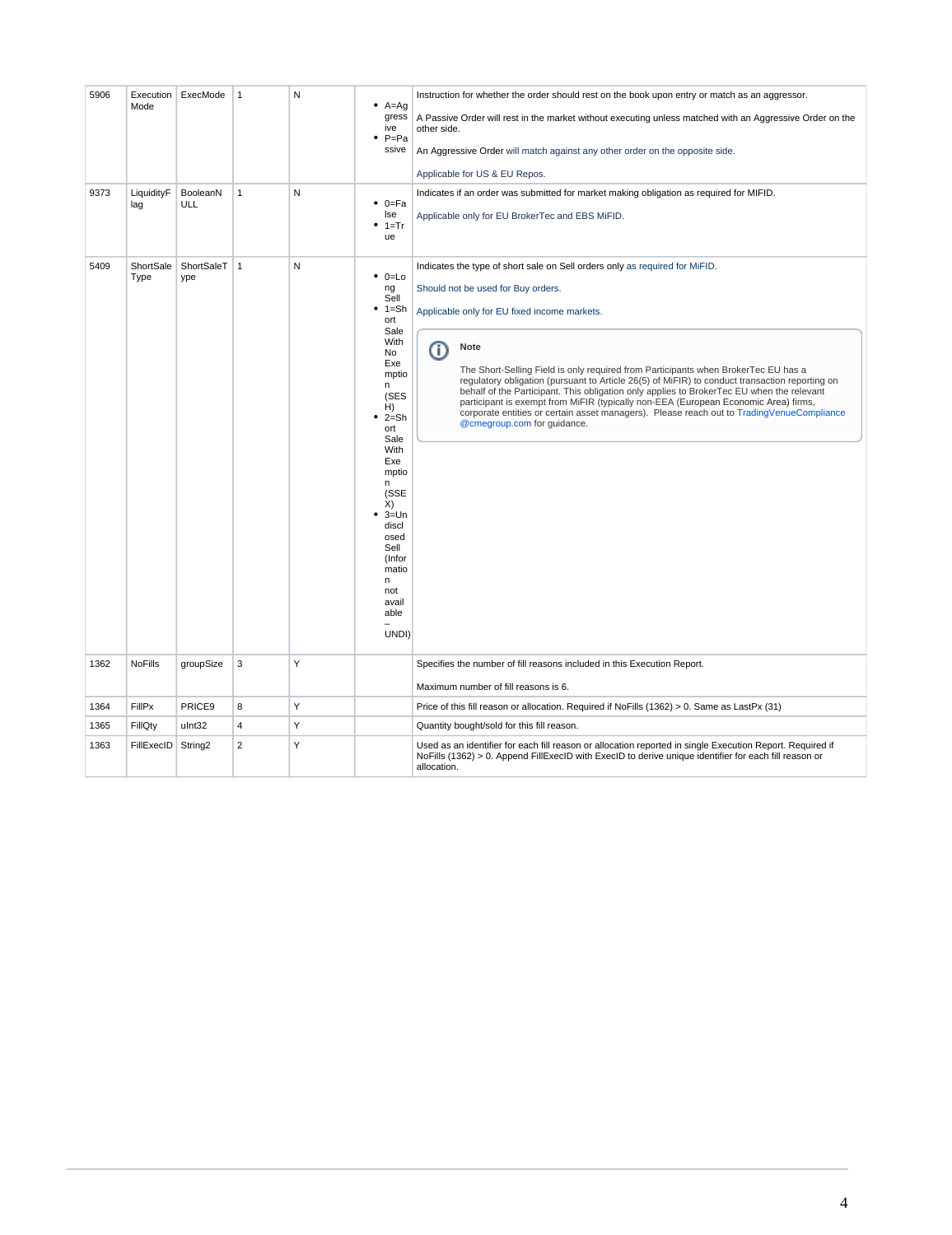| 5906 | Mode              | Execution ExecMode    | $\mathbf{1}$   | N | $A = Ag$<br>gress<br>ive<br>$P = Pa$<br>ssive                                                                                                                                                                                                                                      | Instruction for whether the order should rest on the book upon entry or match as an aggressor.<br>A Passive Order will rest in the market without executing unless matched with an Aggressive Order on the<br>other side.<br>An Aggressive Order will match against any other order on the opposite side.<br>Applicable for US & EU Repos.                                                                                                                                                                                                                                                                                                                                                     |
|------|-------------------|-----------------------|----------------|---|------------------------------------------------------------------------------------------------------------------------------------------------------------------------------------------------------------------------------------------------------------------------------------|------------------------------------------------------------------------------------------------------------------------------------------------------------------------------------------------------------------------------------------------------------------------------------------------------------------------------------------------------------------------------------------------------------------------------------------------------------------------------------------------------------------------------------------------------------------------------------------------------------------------------------------------------------------------------------------------|
| 9373 | LiquidityF<br>lag | BooleanN<br>ULL       | $\mathbf{1}$   | N | $0 = Fa$<br>٠<br>lse<br>$1 = Tr$<br>ue                                                                                                                                                                                                                                             | Indicates if an order was submitted for market making obligation as required for MIFID.<br>Applicable only for EU BrokerTec and EBS MiFID.                                                                                                                                                                                                                                                                                                                                                                                                                                                                                                                                                     |
| 5409 | ShortSale<br>Type | ShortSaleT   1<br>ype |                | N | $0 = Lo$<br>٠<br>ng<br>Sell<br>٠<br>$1 = Sh$<br>ort<br>Sale<br>With<br>No.<br>Exe<br>mptio<br>n<br>(SES<br>H)<br>$2 = Sh$<br>ort<br>Sale<br>With<br>Exe<br>mptio<br>n.<br>(SSE<br>X)<br>$3 = Un$<br>discl<br>osed<br>Sell<br>(Infor<br>matio<br>n<br>not<br>avail<br>able<br>UNDI) | Indicates the type of short sale on Sell orders only as required for MiFID.<br>Should not be used for Buy orders.<br>Applicable only for EU fixed income markets.<br><b>Note</b><br>O)<br>The Short-Selling Field is only required from Participants when BrokerTec EU has a<br>regulatory obligation (pursuant to Article 26(5) of MiFIR) to conduct transaction reporting on<br>behalf of the Participant. This obligation only applies to BrokerTec EU when the relevant<br>participant is exempt from MiFIR (typically non-EEA (European Economic Area) firms,<br>corporate entities or certain asset managers). Please reach out to TradingVenueCompliance<br>@cmegroup.com for guidance. |
| 1362 | <b>NoFills</b>    | groupSize             | 3              | Υ |                                                                                                                                                                                                                                                                                    | Specifies the number of fill reasons included in this Execution Report.<br>Maximum number of fill reasons is 6.                                                                                                                                                                                                                                                                                                                                                                                                                                                                                                                                                                                |
| 1364 | FillPx            | PRICE9                | 8              | Υ |                                                                                                                                                                                                                                                                                    | Price of this fill reason or allocation. Required if NoFills (1362) > 0. Same as LastPx (31)                                                                                                                                                                                                                                                                                                                                                                                                                                                                                                                                                                                                   |
| 1365 | FillQty           | ulnt32                | 4              | Y |                                                                                                                                                                                                                                                                                    | Quantity bought/sold for this fill reason.                                                                                                                                                                                                                                                                                                                                                                                                                                                                                                                                                                                                                                                     |
| 1363 | FillExecID        | String <sub>2</sub>   | $\overline{2}$ | Υ |                                                                                                                                                                                                                                                                                    | Used as an identifier for each fill reason or allocation reported in single Execution Report. Required if<br>NoFills (1362) > 0. Append FillExecID with ExecID to derive unique identifier for each fill reason or<br>allocation.                                                                                                                                                                                                                                                                                                                                                                                                                                                              |